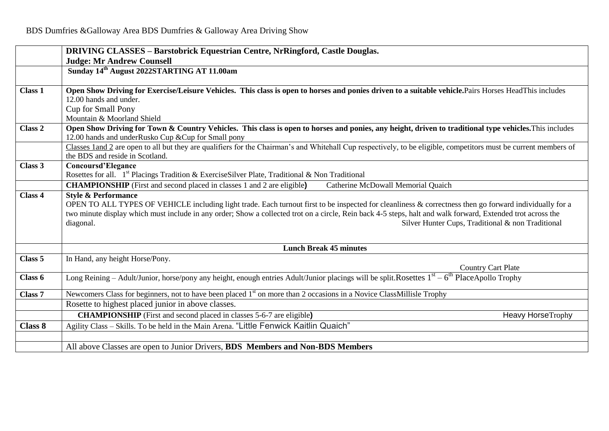|         | <b>DRIVING CLASSES - Barstobrick Equestrian Centre, NrRingford, Castle Douglas.</b>                                                                               |  |  |  |  |
|---------|-------------------------------------------------------------------------------------------------------------------------------------------------------------------|--|--|--|--|
|         | <b>Judge: Mr Andrew Counsell</b>                                                                                                                                  |  |  |  |  |
|         | Sunday 14 <sup>th</sup> August 2022STARTING AT 11.00am                                                                                                            |  |  |  |  |
|         |                                                                                                                                                                   |  |  |  |  |
| Class 1 | Open Show Driving for Exercise/Leisure Vehicles. This class is open to horses and ponies driven to a suitable vehicle.Pairs Horses HeadThis includes              |  |  |  |  |
|         | 12.00 hands and under.                                                                                                                                            |  |  |  |  |
|         | Cup for Small Pony                                                                                                                                                |  |  |  |  |
|         | Mountain & Moorland Shield                                                                                                                                        |  |  |  |  |
| Class 2 | Open Show Driving for Town & Country Vehicles. This class is open to horses and ponies, any height, driven to traditional type vehicles. This includes            |  |  |  |  |
|         | 12.00 hands and underRusko Cup & Cup for Small pony                                                                                                               |  |  |  |  |
|         | Classes 1 and 2 are open to all but they are qualifiers for the Chairman's and Whitehall Cup respectively, to be eligible, competitors must be current members of |  |  |  |  |
|         | the BDS and reside in Scotland.                                                                                                                                   |  |  |  |  |
| Class 3 | <b>Concoursd'Elegance</b>                                                                                                                                         |  |  |  |  |
|         | Rosettes for all. 1 <sup>st</sup> Placings Tradition & Exercise Silver Plate, Traditional & Non Traditional                                                       |  |  |  |  |
|         | <b>CHAMPIONSHIP</b> (First and second placed in classes 1 and 2 are eligible)<br>Catherine McDowall Memorial Quaich                                               |  |  |  |  |
| Class 4 | <b>Style &amp; Performance</b>                                                                                                                                    |  |  |  |  |
|         | OPEN TO ALL TYPES OF VEHICLE including light trade. Each turnout first to be inspected for cleanliness & correctness then go forward individually for a           |  |  |  |  |
|         | two minute display which must include in any order; Show a collected trot on a circle, Rein back 4-5 steps, halt and walk forward, Extended trot across the       |  |  |  |  |
|         | Silver Hunter Cups, Traditional & non Traditional<br>diagonal.                                                                                                    |  |  |  |  |
|         |                                                                                                                                                                   |  |  |  |  |
|         | <b>Lunch Break 45 minutes</b>                                                                                                                                     |  |  |  |  |
| Class 5 | In Hand, any height Horse/Pony.                                                                                                                                   |  |  |  |  |
|         | <b>Country Cart Plate</b>                                                                                                                                         |  |  |  |  |
| Class 6 | Long Reining – Adult/Junior, horse/pony any height, enough entries Adult/Junior placings will be split. Rosettes $1st - 6th$ PlaceApollo Trophy                   |  |  |  |  |
|         |                                                                                                                                                                   |  |  |  |  |
| Class 7 | Newcomers Class for beginners, not to have been placed 1 <sup>st</sup> on more than 2 occasions in a Novice ClassMillisle Trophy                                  |  |  |  |  |
|         | Rosette to highest placed junior in above classes.                                                                                                                |  |  |  |  |
|         | <b>CHAMPIONSHIP</b> (First and second placed in classes 5-6-7 are eligible)<br><b>Heavy HorseTrophy</b>                                                           |  |  |  |  |
| Class 8 | Agility Class – Skills. To be held in the Main Arena. "Little Fenwick Kaitlin Quaich"                                                                             |  |  |  |  |
|         |                                                                                                                                                                   |  |  |  |  |
|         | All above Classes are open to Junior Drivers, BDS Members and Non-BDS Members                                                                                     |  |  |  |  |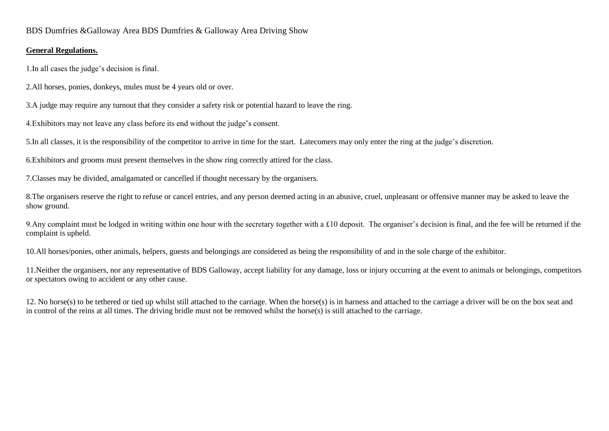# BDS Dumfries &Galloway Area BDS Dumfries & Galloway Area Driving Show

### **General Regulations.**

1.In all cases the judge's decision is final.

2.All horses, ponies, donkeys, mules must be 4 years old or over.

3.A judge may require any turnout that they consider a safety risk or potential hazard to leave the ring.

4.Exhibitors may not leave any class before its end without the judge's consent.

5.In all classes, it is the responsibility of the competitor to arrive in time for the start. Latecomers may only enter the ring at the judge's discretion.

6.Exhibitors and grooms must present themselves in the show ring correctly attired for the class.

7.Classes may be divided, amalgamated or cancelled if thought necessary by the organisers.

8.The organisers reserve the right to refuse or cancel entries, and any person deemed acting in an abusive, cruel, unpleasant or offensive manner may be asked to leave the show ground.

9.Any complaint must be lodged in writing within one hour with the secretary together with a £10 deposit. The organiser's decision is final, and the fee will be returned if the complaint is upheld.

10.All horses/ponies, other animals, helpers, guests and belongings are considered as being the responsibility of and in the sole charge of the exhibitor.

11.Neither the organisers, nor any representative of BDS Galloway, accept liability for any damage, loss or injury occurring at the event to animals or belongings, competitors or spectators owing to accident or any other cause.

12. No horse(s) to be tethered or tied up whilst still attached to the carriage. When the horse(s) is in harness and attached to the carriage a driver will be on the box seat and in control of the reins at all times. The driving bridle must not be removed whilst the horse(s) is still attached to the carriage.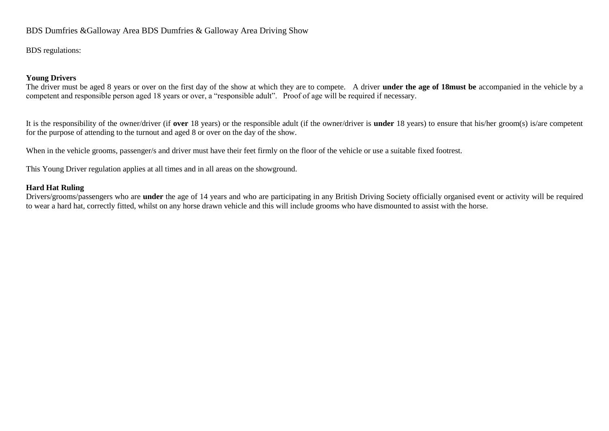# BDS Dumfries &Galloway Area BDS Dumfries & Galloway Area Driving Show

BDS regulations:

#### **Young Drivers**

The driver must be aged 8 years or over on the first day of the show at which they are to compete. A driver **under the age of 18must be** accompanied in the vehicle by a competent and responsible person aged 18 years or over, a "responsible adult". Proof of age will be required if necessary.

It is the responsibility of the owner/driver (if **over** 18 years) or the responsible adult (if the owner/driver is **under** 18 years) to ensure that his/her groom(s) is/are competent for the purpose of attending to the turnout and aged 8 or over on the day of the show.

When in the vehicle grooms, passenger/s and driver must have their feet firmly on the floor of the vehicle or use a suitable fixed footrest.

This Young Driver regulation applies at all times and in all areas on the showground.

#### **Hard Hat Ruling**

Drivers/grooms/passengers who are **under** the age of 14 years and who are participating in any British Driving Society officially organised event or activity will be required to wear a hard hat, correctly fitted, whilst on any horse drawn vehicle and this will include grooms who have dismounted to assist with the horse.